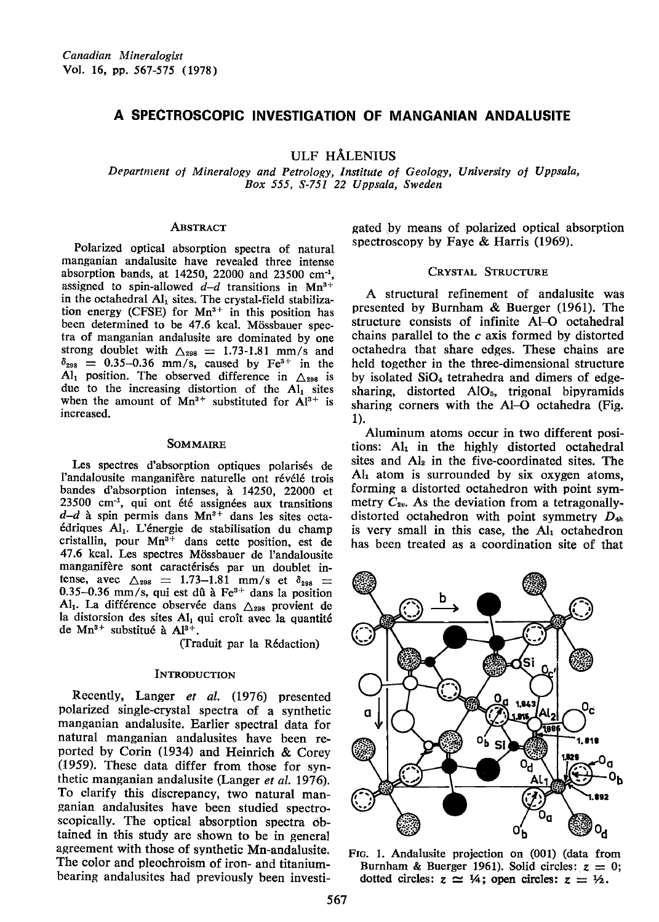# A SPECTROSCOPIC INVESTIGATION OF MANGANIAN ANDALUSITE

ULF HALENIUS

Department of Mineralogy and Petrology, Institute of Geology, University of Uppsala, Box 555, 5-751 22 Uppsala, Sweden

#### ABSTRACT

Polarized optical absorption spectra of natural manganian andalusite have revealed three intense absorption bands, at 14250, 22000 and 23500 cm<sup>-1</sup>, assigned to spin-allowed  $d-d$  transitions in Mn<sup>3+</sup> in the octahedral Al<sub>1</sub> sites. The crystal-field stabilization energy (CFSE) for  $Mn^{3+}$  in this position has been determined to be 47.6 kcal. Mössbauer spectra of manganian andalusite are dominated by one strong doublet with  $\Delta_{298} = 1.73$ -1.81 mm/s and  $\delta_{298} = 0.35 - 0.36$  mm/s, caused by Fe<sup>3+</sup> in the  $Al<sub>1</sub>$  position. The observed difference in  $\triangle_{298}$  is due to the increasing distortion of the  $Al<sub>1</sub>$  sites when the amount of  $Mn^{3+}$  substituted for  $Al^{3+}$  is increased.

### **SOMMAIRE**

Les spectres d'absorption optiques polarisés de l'andalousite manganifère naturelle ont révélé trois bandes d'absorption intenses, à 14250, 22000 et 23500 cm<sup>-1</sup>, qui ont été assignées aux transitions  $d-d$  à spin permis dans Mn<sup>3+</sup> dans les sites octaédriques Al<sub>1</sub>. L'énergie de stabilisation du champ cristallin, pour  $Mn^{3+}$  dans cette position, est de 47.6 kcal. Les spectres Mössbauer de l'andalousite manganifère sont caractérisés par un doublet intense, avec  $\Delta_{298} = 1.73 - 1.81$  mm/s et  $\delta_{298} =$ 0.35-0.36 mm/s, qui est dû à  $Fe^{3+}$  dans la position Al<sub>1</sub>. La différence observée dans  $\triangle_{298}$  provient de la distorsion des sites  $Al<sub>1</sub>$  qui croît avec la quantité de Mn<sup>3+</sup> substitué à  $Al^{3+}$ .

(Iraduit par la R6daction)

## **INTRODUCTION**

Recently, Langer et al. (1976) presented polarized single-cryslal spectra of a synthetic manganian andalusite. Earlier spectral data for natural manganian andalusites have been reported by Corin (1934) and Heinrich & Corey (1959). These data differ from those for svnthetic manganian andalusite (Langer  $et$   $al.$  1976). To clarify this discrepancy, two natural manganian andalusites have been studied spectroscopically. The optical absorption spectra obtained in this study are shown to be in general agreement with those of synthetic Mn-andalusite. The color and pleochroism of iron- and titaniumbearing andalusites had previously been investigated ,by means of polarized optical absorption spectroscopy by Faye & Harris (1969).

## CRYSTAL STRUCTURE

A structural refinement of andalusite was presented by Burnham & Buerger (1961). The structure consists of infinite Al-O octahedral chains parallel to the c axis formed by distorted octahedra that share edges. These chains are held together in the three-dimensional structure by isolated  $SiO<sub>4</sub>$  tetrahedra and dimers of edgesharing, distorted AlOs, trigonal bipyramids sharing corners with the Al-O octahedra (Fig. 1).

Aluminurn atoms occur in two different positions:  $\mathbf{Al}_1$  in the highly distorted octahedral sites and Alz in the five-coordinated sites. The  $Al<sub>1</sub>$  atom is surrounded by six oxygen atoms, forming a distorted octahedron with point symmetry  $C_{2v}$ . As the deviation from a tetragonallydistorted octahedron with point symmetry  $D_{4h}$ is very small in this case, the Al<sub>1</sub> octahedron has been treated as a coordination site of that



Frc. l. Andalusite projection on (001) (data from Burnham & Buerger 1961). Solid circles:  $z = 0$ ; but the state of  $z \simeq 4$ ; open circles:  $z = 4$ .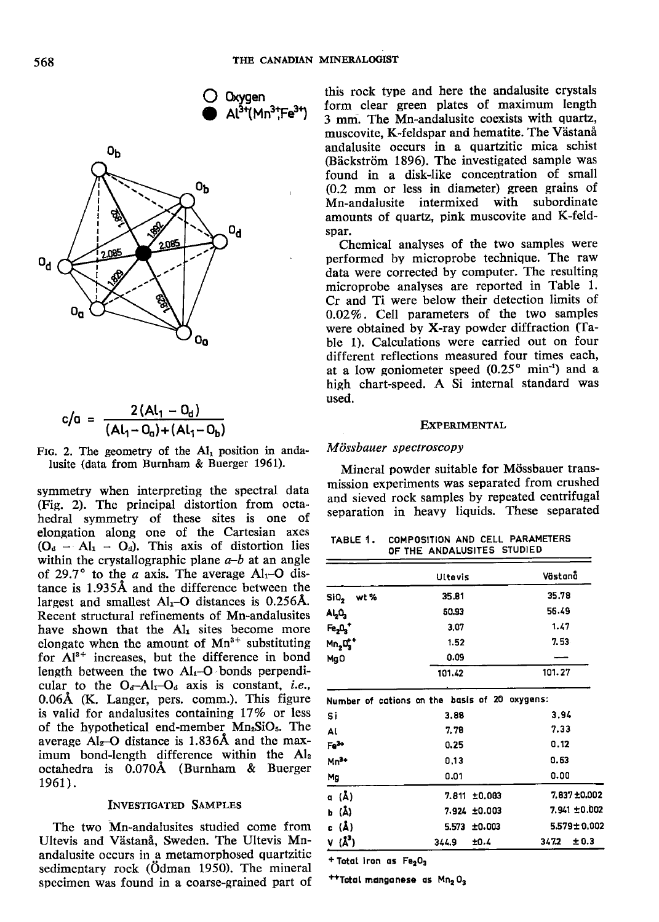



$$
c/a = \frac{2(Al_1 - O_d)}{(Al_1 - O_d) + (Al_1 - O_b)}
$$

FIG. 2. The geometry of the  $Al<sub>1</sub>$  position in andalusite (data from Burnham & Buerger 1961).

symmetry when interpreting the spectral data (Fie. 2). The principal distortion from octahedral symmetry of these sites is one of elongation along one of the Cartesian axes  $(O_d - Al_1 - O_d)$ . This axis of distortion lies within the crystallographic plane  $a-b$  at an angle of 29.7° to the a axis. The average  $Al_1-O$  distance is 1.9354 and the difference between the largest and smallest  $Al<sub>1</sub>-O$  distances is 0.256Å. Recent structural refinements of Mn-andalusites have shown that the Al<sub>1</sub> sites become more elongate when the amount of  $Mn^{3+}$  substituting for  $Al^{3+}$  increases, but the difference in bond length between the two  $Al_1-O$  bonds perpendicular to the  $O<sub>a</sub>-Al<sub>1</sub>-O<sub>d</sub>$  axis is constant, *i.e.*,  $0.06\text{\AA}$  (K. Langer, pers. comm.). This figure is valid for andalusites containing  $17\%$  or less of the hypothetical end-member  $Mn_2SiO_5$ . The average  $Al_z-O$  distance is 1.836Å and the maximum bond-length difference within the Alz octahedra is 0.070A (Burnham & Buerger 1961).

## INVESTIGATED SAMPLES

The two Mn-andalusites studied come from Ultevis and Viistan&, Sweden. The Ultevis Mnandalusite occurs in a metamorphosed quartzitic sedimeptary rock (Odman 1950). The mineral specimen was found in a coarse-grained part of

this rock type and here the andalusite crystals form clear green plates of maximum length 3 mm. The Mn-andalusite coexists with quartz, muscovite, K-feldspar and hematite. The Västanå andalusite occurs in a quartzitic mica schist (Bäckström 1896). The investigated sample was found in a disk-like concentration of small (0.2 mm or less in dianeter) green grains of Mn-andalusite intermixed with subordinate amounts of quartz, pink muscovite and K-feldspar.

Chemical analyses of the two samples were performed by microprobe technique. The raw data were corrected by computer. The resulting microprobe analvses are reported in Table 1. Cr and Ti were below their detection limits of 0.02%. Cell parameters of the two samples were obtained by X-ray powder diffraction (Table 1). Calculations were carried out on four different reflections measured four times each, at a low goniometer speed  $(0.25<sup>o</sup> min<sup>-1</sup>)$  and a high chart.speed. A Si internal standard was used.

#### **EXPERIMENTAL**

### Mössbauer spectroscopy

Mineral powder suitable for Mössbauer transmission experiments was separated from crushed and sieved rock samples by repeated centrifugal separation in heavy liquids. These separated

TABLE 1. COMPOSITION AND CELL PARAMETERS OF THE ANDALUSITES STUDIED

|                                | Ultevis                                       | Västanå      |  |  |  |
|--------------------------------|-----------------------------------------------|--------------|--|--|--|
| Si0,<br>wt %                   | 35.81                                         | 35.78        |  |  |  |
| ALO,                           | 60.93                                         | 56.49        |  |  |  |
| Fe <sub>2</sub> O <sub>3</sub> | 3.07                                          | 1.47         |  |  |  |
| $Mn_2D_3^+$                    | 1.52                                          | 7.53         |  |  |  |
| MgO                            | 0.09                                          |              |  |  |  |
|                                | 101.42                                        | 101.27       |  |  |  |
|                                | Number of cations on the basis of 20 oxygens: |              |  |  |  |
| Si                             | 3.88                                          | 3,94         |  |  |  |
| AL                             | 7.78                                          | 7.33         |  |  |  |
| Fe <sup>3+</sup>               | 0.25                                          | 0.12         |  |  |  |
| $Mn^{3+}$                      | 0,13                                          | 0.63         |  |  |  |
| Mg                             | 0.01                                          | 0.00         |  |  |  |
| a (Å)                          | $7.811 \pm 0.003$                             | 7,837 ±0,002 |  |  |  |
| ь (Å)                          | 7.924 ±0.003                                  | 7.941 ±0.002 |  |  |  |
| c (Å)                          | 5.573 ±0.003                                  | 5.579±0.002  |  |  |  |
|                                |                                               |              |  |  |  |

 $+$  Total iron as  $Fe<sub>2</sub>O<sub>3</sub>$ 

\*Totot mongonese os Mn2o,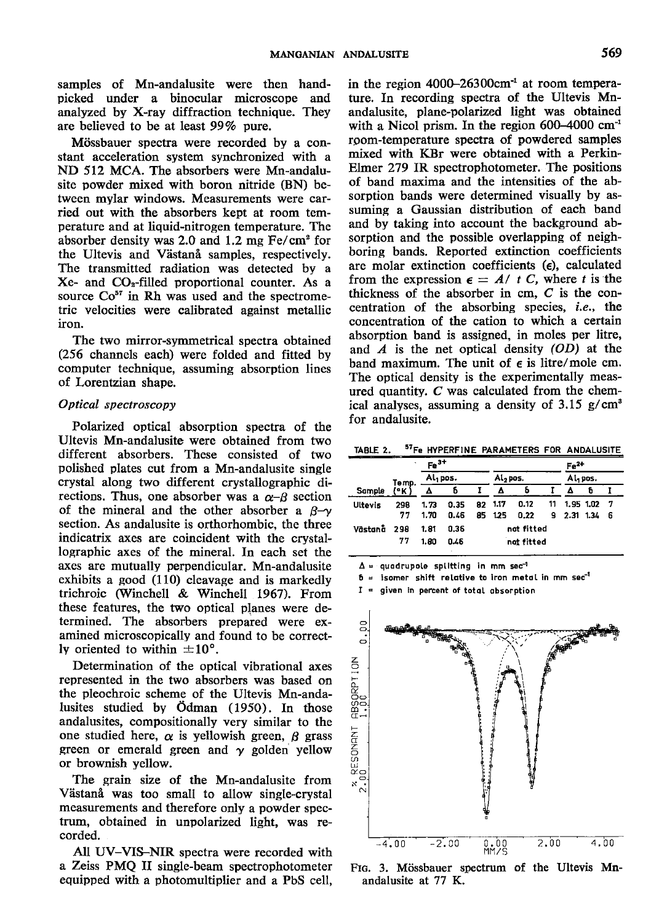samples of Mn-andalusite were then handpicked under a binocular microscope and analyzed by X-ray diffraction technique. They are believed to be at least 99% pure.

Mössbauer spectra were recorded by a constant acceleration system synchronized with a ND 512 MCA. The absorbers were Mn-andalusite powder mixed with boron nitride (BN) between mvlar windows. Measurements were carried out with the absorbers kept at room temperature and at liquid-nitrogen temperature. The absorber density was 2.0 and 1.2 mg  $Fe/cm<sup>2</sup>$  for the Ultevis and Västanå samples, respectively. The transmitted radiation was detected by a Xe- and COz-filled proportional counter. As a source  $Co<sup>57</sup>$  in Rh was used and the spectrometric velocities were calibrated against metallic iron.

The two mirror-symmetrical spectra obtained (256 channels each) were folded and fitted by computer technique, assuming absorption lines of Lorentzian shape.

# Optical spectroscopy

Polarized optical absorption spectra of the Ultevis Mn-andalusite were obtained from two different absorbers. These consisted of two polished plates cut from a Mn-andalusite single crystal along two different crystallographic directions. Thus, one absorber was a  $\alpha-\beta$  section of the mineral and the other absorber a  $B\rightarrow\gamma$ section. As andalusite is orthorhombic, the three indicatrix axes are coincident with the crystallographic axes of the mineral. In each set the axes are mutually perpendicular. Mn-andalusite exhibits a good (110) cleavage and is markedly trichroic (Winchell & Winchell 1967). From these features, the two optical planes were determined. The absorbers prepared were examined microscopically and found to be correctly oriented to within  $\pm 10^{\circ}$ .

Determination of the optical vibrational axes represented in the two absorbers was based on the pleochroic scheme of the Ultevis Mn-andalusiteg studied by Odman (1950). In those andalusites, compositionally very similar to the one studied here,  $\alpha$  is yellowish green,  $\beta$  grass green or emerald green and  $\gamma$  golden yellow or brownish yellow.

The grain size of the Mn-andalusite from Västanå was too small to allow single-crystal measurements and therefore only a powder spectrum, obtained in unpolarized light, was recorded.

All UV-VIS-NIR spectra were recorded with a Zeiss PMQ II single-beam spectrophotometer equipped with a photomultiplier and a PbS cell,

in the region  $4000-26300$ cm<sup>-1</sup> at room temperature. In recording spectra of the Ultevis Mnandalusite, plane-polarized light was obtained with a Nicol prism. In the region  $600-4000$  cm<sup>-1</sup> rpom-temperature spectra of powdered samples mixed with KBr were obtained with a Perkin-Elmer 279 IR spectrophotometer. The positions of band maxima and tle intensities of the absorption bands were determined visually by assuming a Gaussian distribution of each band and by taking into account the background absorption and the possible overlapping of neighboring bands. Reported extinction coefficients are molar extinction coefficients  $(\epsilon)$ , calculated from the expression  $\epsilon = A/t$  c, where t is the thickness of the absorber in cm, C is the concentration of the absorbing species, *i.e.*, the concentration of the cation to which a certain absorption band is assigned, in moles per litre, and  $A$  is the net optical density  $(OD)$  at the band maximum. The unit of  $\epsilon$  is litre/mole cm. The optical density is the experimentally measured quantity. C was calculated from the chemical analyses, assuming a density of 3.15 g/cm' for andalusite.

TABLE 2. 57Fe HYPERFINE PARAMETERS FOR ANDALUSITE

| ٠<br>Temp.  |      | $Fe3+$<br>Al <sub>1</sub> pos. |      |            |          |            |                      | $Fe2+$    |      |     |
|-------------|------|--------------------------------|------|------------|----------|------------|----------------------|-----------|------|-----|
|             |      |                                |      |            | Al, pos. |            | Al <sub>1</sub> pos. |           |      |     |
| Sample      | (°K) | Δ                              | Ъ    | 1          | Δ        | Б          |                      | Δ         | ъ    |     |
| Ultevis     | 298  | 1.73                           | 0.35 |            | 82 1.17  | 0.12       | -11                  | 1.95 1.02 |      |     |
|             | 77   | 1.70                           | 0.46 | 85         | 125      | 0.22       |                      | 9, 2.31   | 1.34 | - 6 |
| Västanå 298 |      | 1.81                           | 0.36 | not fitted |          |            |                      |           |      |     |
|             | 77   | 1.80                           | 0.46 |            |          | not fitted |                      |           |      |     |

 $\Delta$  = quodrupole splitting in mm sec-1

 $6 =$  isomer shift relative to iron metal in mm sec<sup>-1</sup>

 $I =$  given in percent of total absorption



Ftg. 3. Mössbauer spectrum of the Ultevis Mnandalusite at 77 K.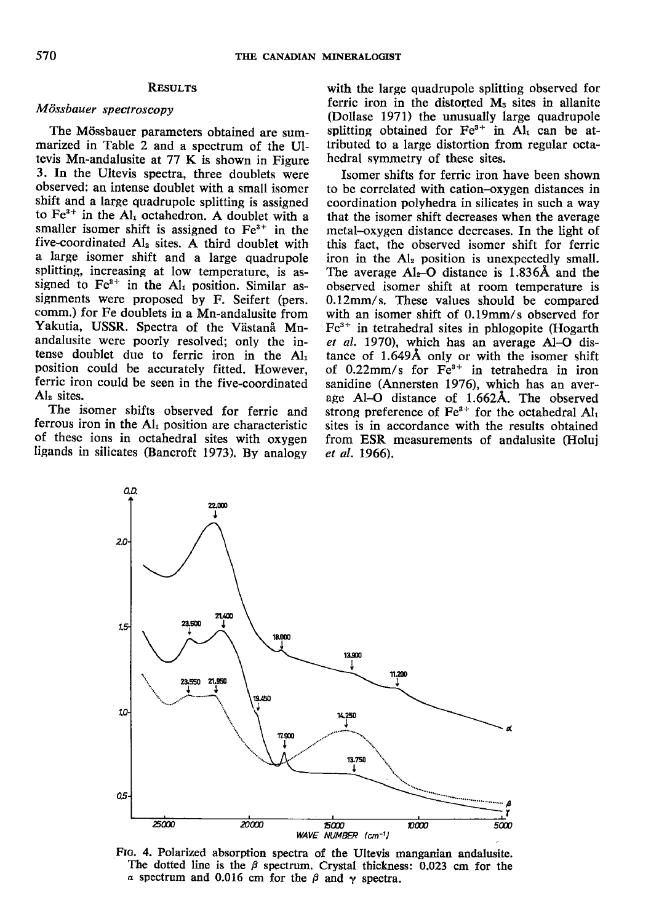# **RESULTS**

# Mössbauer spectroscopy

The Mössbauer parameters obtained are summarized in Table 2 and a spectrum of the Ultevis Mn-andalusite at 77 K is shown in Figure 3. In the Ultevis spectra, three doublets were observed: an intense doublet with a small isomer shift and a large quadrupole splitting is assigned to  $Fe^{3+}$  in the Al<sub>1</sub> octahedron. A doublet with a smaller isomer shift is assigned to  $Fe<sup>3+</sup>$  in the five-coordinated  $Al<sub>2</sub>$  sites. A third doublet with a large isomer shift and a large quadrupole splitting, increasing at low temperature, is assigned to  $Fe^{2+}$  in the Al<sub>1</sub> position. Similar assignments were proposed by F. Seifert (pers. comm.) for Fe doublets in a Mn-andalusite from Yakutia, USSR. Spectra of the Västanå Mnandalusite were poorly resolved; only the intense doublet due to ferric iron in the Alr position could be accurately fitted. However, ferric iron could be seen in the five-coordinated Al, sites.

The isomer shifts observed for ferric and ferrous iron in the Al<sub>1</sub> position are characteristic of these ions in octahedral sites with oxygen ligands in silicates (Bancroft 1973). By analogy with the large quadrupole splitting observed for ferric iron in the distorted  $M<sub>a</sub>$  sites in allanite (Dollase 1971) the unusually large quadrupole splitting obtained for  $Fe^{3+}$  in Al<sub>1</sub> can be attributed to a large distortion from regular octahedral symmetry of these sites.

Isomer shifts for ferric iron have been shown to be correlated with cation-oxygen distances in coordination polyhedra in silicates in such a way that the isomer shift decreases when the average metal-oxygen distance decreases. In the light of this fact. the observed isomer shift for ferric iron in the  $Al<sub>2</sub>$  position is unexpectedly small. The average  $Al_2-O$  distance is 1.836 $\AA$  and the observed isomer shift at room temperature is 0.12mm/s. These values should be compared with an isomer shift of 0.19mm/s observed for  $Fe<sup>3+</sup>$  in tetrahedral sites in phlogopite (Hogarth et al. l97O), which has an average A1-O distance of 1.6494 only or with the isomer shift of 0.22mm/s for Fe3\* in tetrahedra in iron sanidine (Annersten 1976), which has an average Al-O distance ot 1.6624. The observed strong preference of  $Fe^{3+}$  for the octahedral  $Al_1$ sites is in accordance with the results obtained from ESR measurements of andalusite (Holuj et al. 1966).



Frc. 4. Polarized absorption spectra of the Ultevis manganian andalusite. The dotted line is the  $\beta$  spectrum. Crystal thickness: 0.023 cm for the a spectrum and 0.016 cm for the  $\beta$  and  $\gamma$  spectra.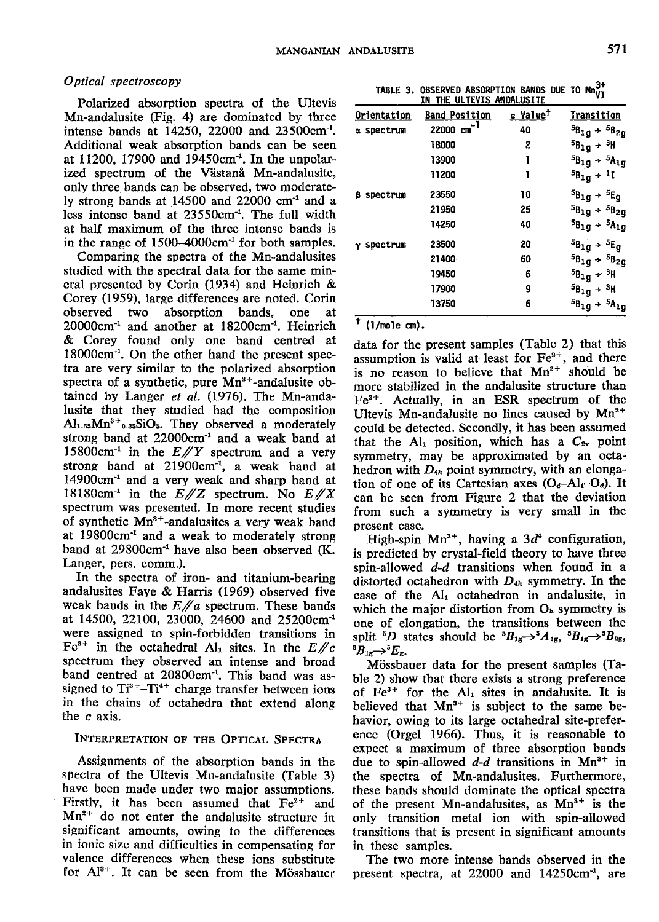## Optical spectroscopy

Polarized absorption spectra of the Ultevis Mn-andalusite (Fig. 4) are dominated by three intense bands at L425O,22000 and 23500cm-1. Additional weak absorption bands can be seen at ll2OO, 17900 and l9450cm-1. In the unpolarized spectrum of the Västanå Mn-andalusite, only three bands can be observed, two moderately strong bands at  $14500$  and  $22000$  cm<sup>-1</sup> and a less intense band at 23550cm'. The full width at half maximum of the three intense bands is in the range of  $1500-4000$ cm<sup>-1</sup> for both samples.

Comparing the spectra of the Mn-andalusites studied with the spectral data for the same mineral presented by Corin (1934) and Heinrich & Corey (1959). large differences are noted. Corin observed two absorption bands, one at 20000cm<sup>-1</sup> and another at 18200cm<sup>-1</sup>. Heinrich & Corey found only one band centred at 18000cm-1. On the other hand the present spectra are very similar to the polarized absorption spectra of a synthetic, pure  $Mn^{3+}$ -andalusite obtained by Langer et al.  $(1976)$ . The Mn-andalusite that they studied had the composition  $Al<sub>1.65</sub>Mn<sup>3+</sup><sub>0.35</sub>SiO<sub>5</sub>$ . They observed a moderately strong band at  $22000 \text{cm}^{-1}$  and a weak band at 15800cm<sup>-1</sup> in the  $E/\!\!/Y$  spectrum and a very strong band at  $21900 \text{cm}^{-1}$ , a weak band at  $14900$ cm<sup>-1</sup> and a very weak and sharp band at 18180cm<sup>-1</sup> in the  $E//Z$  spectrum. No  $E//X$ spectrum was presented. In more recent studies of synthetic Mn3+-andalusites a very weak band at 19800cm-' and a weak to moderately strong band at 29800cm<sup>-1</sup> have also been observed (K. Langer, pers. comm.).

In the spectra of iron- and titanium-bearing andalusites Faye & Harris (1969) observed five weak bands in the  $E/a$  spectrum. These bands at 145OO,22100,23000, 24600 and 252OOcm'1 were assigned to spin-forbidden transitions in  $Fe<sup>3+</sup>$  in the octahedral Al<sub>1</sub> sites. In the  $E\#c$ spectrum they observed an intense and broad band centred at 20800cm<sup>-1</sup>. This band was assigned to  $Ti^{3+}-Ti^{4+}$  charge transfer between ions in the chains of octahedra that extend alons the c axis.

# INTERPRETATION OF THE OPTICAL SPECTRA

Assignments of the absorption bands in the spectra of the Ultevis Mn-andalusite (Table 3) have been made under two major assumptions. Firstly, it has been assumed that  $Fe<sup>2+</sup>$  and  $Mn^{2+}$  do not enter the andalusite structure in significant amounts, owing to the differences in ionic size and difficulties in compensating for valence differences when these ions substitute for  $Al^{3+}$ . It can be seen from the Mössbauer

TABLE 3. OBSERVED ABSORPTION BANDS DUE TO  $M_{\text{V}}^{3+}$ 

| Orientation       | <b>Band Position</b> | ε Value <sup>†</sup> | Transition                              |
|-------------------|----------------------|----------------------|-----------------------------------------|
| a spectrum        | 22000 $cm^{-1}$      | 40                   | ${}^{5}B_{1}q \rightarrow {}^{5}B_{2}q$ |
|                   | 18000                | 2                    | ${}^{5}B_{1}q + {}^{3}H$                |
|                   | 13900                | 1                    | ${}^{5}B_{1}q \rightarrow {}^{5}A_{1}q$ |
|                   | 11200                | ī                    | ${}^{5}B_{1g}$ + ${}^{1}I$              |
| <b>ß</b> spectrum | 23550                | 10                   | ${}^{5}B_{1}g + {}^{5}E_{9}$            |
|                   | 21950                | 25                   | ${}^{5}B_{1}g + {}^{5}B_{2}g$           |
|                   | 14250                | 40                   | ${}^{5}B_{1}g + {}^{5}A_{1}g$           |
| <b>Y</b> spectrum | 23500                | 20                   | ${}^{5}B_{1g} \rightarrow {}^{5}E_{g}$  |
|                   | 21400                | 60                   | ${}^{5}B_{1}q \rightarrow {}^{5}B_{2}q$ |
|                   | 19450                | 6                    | ${}^{5}B_{1g}$ + ${}^{3}H$              |
|                   | 17900                | 9                    | ${}^{5}B_{1g}$ + ${}^{3}H$              |
|                   | 13750                | 6                    | ${}^{5}B_{1}g + {}^{5}A_{1}g$           |

 $<sup>†</sup>$  (1/mole cm).</sup>

data for the present samples (Table 2) that this assumption is valid at least for  $Fe<sup>2+</sup>$ , and there is no reason to believe that  $Mn^{2+}$  should be more stabilized in the andalusite structure than  $Fe<sup>2+</sup>$ . Actually, in an ESR spectrum of the Ultevis Mn-andalusite no lines caused by  $Mn^{2+}$ could be detected. Secondly, it has been assumed that the Al<sub>1</sub> position, which has a  $C_{2v}$  point symmetry, may be approximated by an octahedron with  $D_{4h}$  point symmetry, with an elongation of one of its Cartesian axes  $(O_d-A)_r-O_d$ . It can be seen from Figure 2 that the deviation from such a symmetry is very small in the present case.

High-spin Mn<sup>3+</sup>, having a  $3d<sup>4</sup>$  configuration, is predicted by crystal-field theory to have three spin-allowed  $d-d$  transitions when found in a distorted octahedron with  $D_{4h}$  symmetry. In the case of the AL octahedron in andalusite, in which the major distortion from  $O_h$  symmetry is one of elongation, the transitions between the split <sup>5</sup>D states should be  ${}^5B_{1g} \rightarrow {}^5A_{1g}$ ,  ${}^5B_{1g} \rightarrow {}^5B_{2g}$ ,  ${}^5B_{1\text{g}} \rightarrow {}^5E_{\text{g}}$ .

Mössbauer data for the present samples (Table 2) show that there exists a strong preference of  $Fe<sup>3+</sup>$  for the Al<sub>1</sub> sites in andalusite. It is believed that  $Mn^{3+}$  is subject to the same behavior, owing to its large octahedral site-preference (Orgel 1966). Thus, it is reasonable to expect a maximum of three absorption bands due to spin-allowed  $d-d$  transitions in Mn<sup>3+</sup> in the spectra of Mn-andalusites. Furthermore, these bands should dominate the optical spectra of the present Mn-andalusites, as  $Mn^{3+}$  is the only transition metal ion with spin-allowed transitions that is present in significant amounts in these samples.

The two more intense bands observed in the present spectra, at 22000 and 14250cm<sup>-1</sup>, are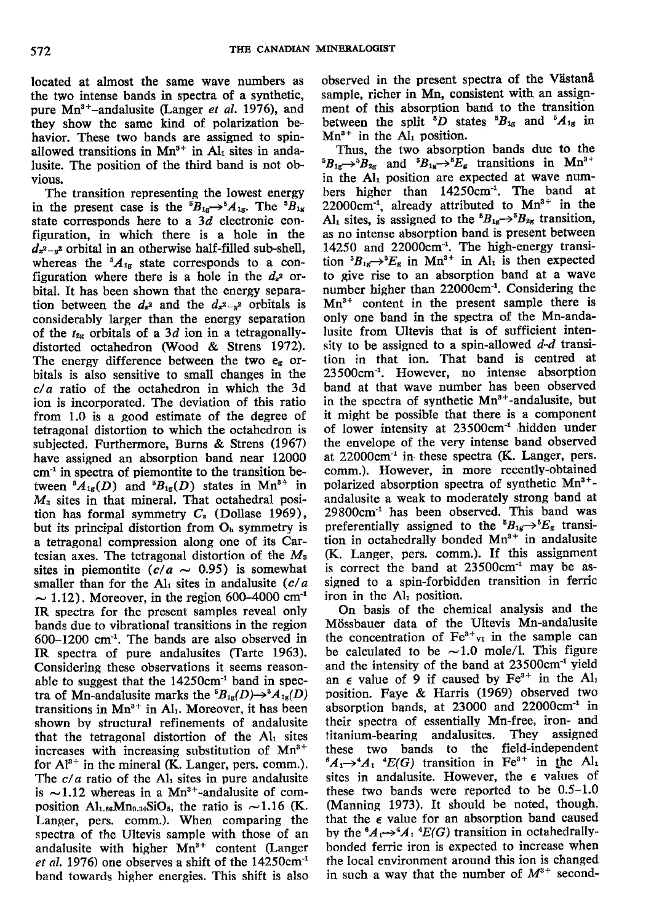located at almost the same wave numbers as the two intense bands in spectra of a synthetic, pure Mn<sup>3+</sup>-andalusite (Langer et al. 1976), and they show the same kind of polarization behavior. These two bands are assigned to spinallowed transitions in  $Mn^{3+}$  in  $Al<sub>1</sub>$  sites in andalusite. The position of the third band is not obvious.

The transition representing the lowest energy in the present case is the  ${}^{5}B_{1g} \rightarrow {}^{5}A_{1g}$ . The  ${}^{5}B_{1g}$ state corresponds here to a  $3d$  electronic configuration, in which there is a hole in the  $d_{\mathbf{z}^2 - \mathbf{z}^2}$  orbital in an otherwise half-filled sub-shell, whereas the  $^5A_{1g}$  state corresponds to a configuration where there is a hole in the  $d_{z}$  orbital. It has been shown that the energy separation between the  $d_{z^2}$  and the  $d_{z^2-y^2}$  orbitals is considerably larger than the energy separation of the  $t_{2x}$  orbitals of a 3d ion in a tetragonallydistorted octahedron (Wood & Strens 1972). The energy difference between the two  $e_g$  orbitals is also sensitive to small changes in the  $c/a$  ratio of the octahedron in which the 3d ion is incorporated. The deviation of this ratio from 1.0 is a good estimate of the degree of tetragonal distortion to which the octahedron is subjected. Furthermore, Burns & Strens (1967) have assigned an absorption band near 12000 cm-' in spectra of piemontite to the transition between  ${}^{\sharp}A_{1g}(D)$  and  ${}^{\sharp}B_{1g}(D)$  states in Mn<sup>3+</sup> in  $M<sub>3</sub>$  sites in that mineral. That octahedral position has formal symmetry  $C_s$  (Dollase 1969), but its principal distortion from  $O_h$  symmetry is a tetragonal compression along one of its Cartesian axes. The tetragonal distortion of the  $M_3$ sites in piemontite  $(c/a \sim 0.95)$  is somewhat smaller than for the Al<sub>1</sub> sites in andalusite  $(c/a)$  $\sim$  1.12). Moreover, in the region 600–4000 cm<sup>-1</sup> IR spectra for the present samples reveal only bands due to vibrational transitions in the region  $600-1200$  cm<sup>-1</sup>. The bands are also observed in IR spectra of pure andalusites (Tarte 1963). Considering these observations it seems reasonable to suggest that the l4250cm'' band in spectra of Mn-andalusite marks the  ${}^5B_{18}(D) \rightarrow {}^5A_{18}(D)$ transitions in  $Mn^{3+}$  in  $Al_1$ . Moreover, it has been shown by structural refinements of andalusite that the tetragonal distortion of the  $Al<sub>1</sub>$  sites increases with increasing substitution of  $Mn^{3+}$ for  $Al^{3+}$  in the mineral (K. Langer, pers. comm.). The  $c/a$  ratio of the Al<sub>1</sub> sites in pure andalusite is  $\sim$ 1.12 whereas in a Mn<sup>3+</sup>-andalusite of composition  $Al_{1.66}Mn_{0.34}SiO_5$ , the ratio is  $\sim$  1.16 (K. Langer, pers. comm.). When comparing the spectra of the Ultevis sample with those of an andalusite with higher  $Mn^{3+}$  content (Langer et al. 1976) one observes a shift of the  $14250 \text{cm}^{-1}$ band towards higher energies. This shift is also observed in the present spectra of the Västanå sample, richer in Mn, consistent with an assignment of this absorption band to the transition between the split  ${}^5D$  states  ${}^5B_{1g}$  and  ${}^5A_{1g}$  in  $Mn^{3+}$  in the  $Al<sub>1</sub>$  position.

Thus, the two absorption bands due to the  ${}^{5}B_{1g} \rightarrow {}^{5}B_{2g}$  and  ${}^{5}B_{1g} \rightarrow {}^{5}E_{g}$  transitions in Mn<sup>3+</sup> in the  $Al<sub>1</sub>$  position are expected at wave numbers higher than  $14250 \text{cm}^{-1}$ . The band at 22000cm<sup>-1</sup>, already attributed to  $Mn^{3+}$  in the Al<sub>1</sub> sites, is assigned to the  ${}^5B_{1g} \rightarrow {}^5B_{2g}$  transition, as no intense absorption band is present between 14250 and 22000cm<sup>-1</sup>. The high-energy transition  ${}^5B_{1g} \rightarrow {}^5E_g$  in Mn<sup>3+</sup> in Al<sub>1</sub> is then expected to give rise to an absorption band at a wave number higher than 22000cm<sup>-1</sup>. Considering the  $Mn^{3+}$  content in the present sample there is only one band in the sppctra of the Mn-andalusite from Ultevis that is of sufficient intensity to be assigned to a spin-allowed  $d-d$  transition in that ion. That band is centred at 23500cm-t. However, no intense absorption band at that wave number has been observed in the spectra of synthetic  $Mn^{3+}$ -andalusite, but it might be possible that there is a component of lower intensity at 23500cm-1 ,hidden under the envelope of the very intense band observed at 22000cm<sup>-1</sup> in these spectra (K. Langer, pers. comm.). However, in more recently-obtained polarized absorption spectra of synthetic Mn<sup>3+</sup>andalusite a weak to moderately strong band at 29800cm-1 has been observed. This band was preferentially assigned to the  ${}^{5}B_{1g} \rightarrow {}^{5}E_{g}$  transition in octahedrally bonded  $Mn^{3+}$  in andalusite K. Langer, pers. comm.). If this assignment is correct the band at  $23500 \text{cm}^{-1}$  may be assigned to a spin-forbidden transition in ferric iron in the AL position.

On basis of the chemical analysis and the Mössbauer data of the Ultevis Mn-andalusite the concentration of  $Fe<sup>3+</sup>_{VI}$  in the sample can be calculated to be  $\sim$ 1.0 mole/l. This figure and the intensity of the band at 23500cm-1 vield an  $\epsilon$  value of 9 if caused by Fe<sup>3+</sup> in the Al<sub>1</sub> position. Faye & Harris (1969) observed two absorption bands, at 23000 and 22000cm-' in their spectra of essentially Mn-free, iron- and<br>titanium-bearing andalusites. They assigned titanium-bearing andalusites. these two bands to the field-independent  ${}^6A_1 \rightarrow {}^4A_1$   ${}^4E(G)$  transition in Fe<sup>3+</sup> in the Al<sub>1</sub> sites in andalusite. However, the  $\epsilon$  values of these two bands were reported to be 0.5-1.0 (Manning 1973). It should be noted, though, that the  $\epsilon$  value for an absorption band caused by the  ${}^6A_1\rightarrow {}^4A_1$   ${}^4E(G)$  transition in octahedrallybonded ferric iron is expected to increase when the local environment around this ion is changed in such a way that the number of  $M^{3+}$  second-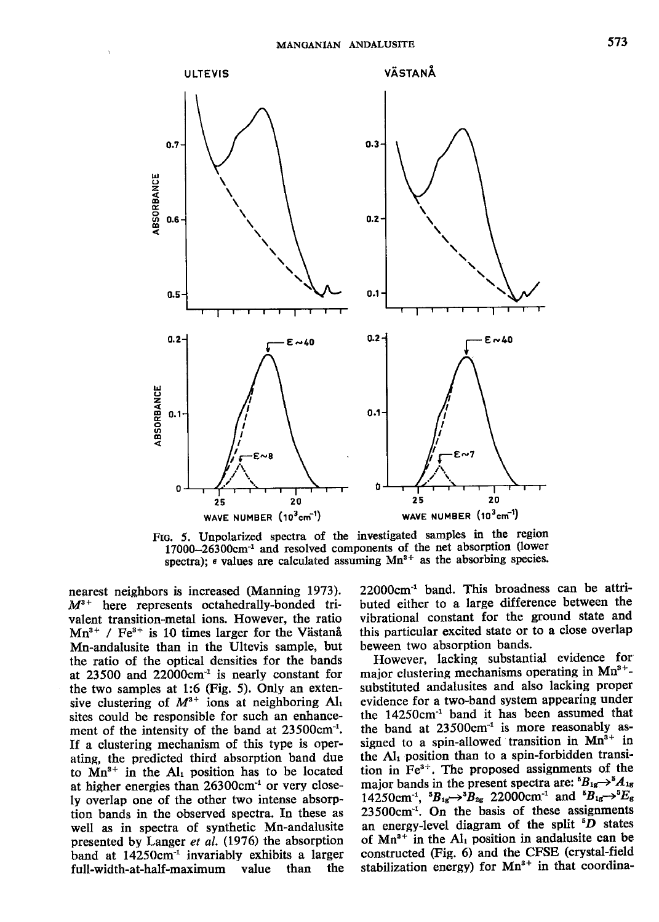

Ftc. 5. Unpolarized spectra of the investigated samples in the region  $17000-26300$ cm<sup>-1</sup> and resolved components of the net absorption (lower spectra);  $\epsilon$  values are calculated assuming  $Mn^{3+}$  as the absorbing species.

nearest neighbors is increased (Manning 1973).  $M^{3+}$  here represents octahedrally-bonded trivalent transition-metal ions. However, the ratio  $Mn^{3+}$  / Fe<sup>3+</sup> is 10 times larger for the Västanå Mn-andalusite than in the Ultevis sample, but the ratio of the optical densities for the bands at  $23500$  and  $22000 \text{cm}^{-1}$  is nearly constant for the two samples at 1:6 (Fig. 5). Only an extensive clustering of  $M^{3+}$  ions at neighboring Al<sub>1</sub> sites could be responsible for such an enhancement of the intensity of the band at 23500cm<sup>-1</sup>. If a clustering mechanism of this type is operating, the predicted third absorption band due to  $Mn^{3+}$  in the Al<sub>1</sub> position has to be located at higher energies than 26300cm-1 or very closely overlap one of the other two intense absorption bands in the observed spectra. In these as well as in spectra of synthetic Mn-andalusite presented by Langer et al, (1976) the absorption band at  $14250 \text{cm}^{-1}$  invariably exhibits a larger  $\text{full-width}$ -at-half-maximum value than the full-width-at-half-maximum value

 $22000 \text{cm}^{-1}$  band. This broadness can be attributed either to a large difference between the vibrational constant for the ground state and this particular excited state or to a close overlap beween two absorption bands.

However, lacking substantial evidence for major clustering mechanisms operating in  $Mn^{3+}$ substituted andalusites and also lacking proper evidence for a two-band system appearing under the  $14250 \text{cm}^{-1}$  band it has been assumed that the band at  $23500 \text{cm}^{-1}$  is more reasonably assigned to a spin-allowed transition in  $Mn^{3+}$  in the  $Al<sub>1</sub>$  position than to a spin-forbidden transition in  $Fe<sup>3+</sup>$ . The proposed assignments of the major bands in the present spectra are:  ${}^5B_{1g} \rightarrow {}^5A_{1g}$  $14250 \text{cm}^{-1}$ ,  ${}^5B_{1g} \rightarrow {}^5B_{2g}$  22000cm<sup>-1</sup> and  ${}^5B_{1g} \rightarrow {}^5E_g$ 23500cm-1. On the basis of these assignments an energy-level diagram of the split  ${}^5D$  states of  $Mn^{3+}$  in the  $Al_1$  position in andalusite can be constructed (Fig. 6) and the CFSE (crystal-field stabilization energy) for  $Mn^{3+}$  in that coordina-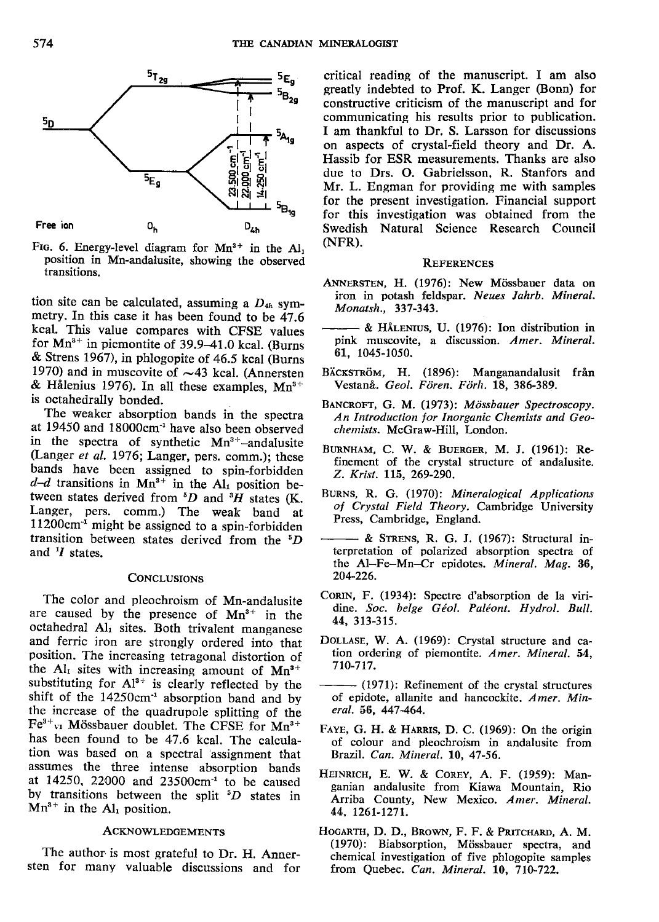

FIG. 6. Energy-level diagram for  $Mn^{3+}$  in the Al, position in Mn-andalusite, showing the observed transitions.

tion site can be calculated, assuming a  $D_{4h}$  symmetry. fn this case it has been found to be 47.6 kcal. This value compares with CFSE values for  $Mn^{3+}$  in piemontite of 39.9–41.0 kcal. (Burns & Strens 1967), in phlogopite of 46.5 kcal (Burns 1970) and in muscovite of  $\sim$ 43 kcal. (Annersten  $\&$  Hålenius 1976). In all these examples, Mn<sup>3+</sup> is octahedrally bonded.

The weaker absorption bands in the spectra at 19450 and 18000cm<sup>-1</sup> have also been observed in the spectra of synthetic  $Mn^{3+}$ -andalusite (Langer et al. 1976; Langer, pers. comm.); these bands have been assigned to spin-forbidden  $d-d$  transitions in Mn<sup>3+</sup> in the Al<sub>1</sub> position between states derived from  ${}^5D$  and  ${}^3H$  states (K. Langer, pers. comm.) The weak band at  $11200 \text{cm}^{-1}$  might be assigned to a spin-forbidden transition between states derived from the  ${}^{5}D$ and  $\overline{I}$  states.

#### Conclusions

The color and pleochroism of Mn-andalusite are caused by the presence of  $Mn^{3+}$  in the octahedral Al<sub>1</sub> sites. Both trivalent manganese and ferric iron are strongly ordered into that position. The increasing tetragonal distortion of the Al<sub>1</sub> sites with increasing amount of  $Mn^{3+}$ substituting for  $Al^{3+}$  is clearly reflected by the shift of the 14250cm-1 absorption band and by the increase of the quadrupole splitting of the  $Fe<sup>3+</sup>vr$  Mössbauer doublet. The CFSE for Mn<sup>3+</sup> has been found to be 47.6 kcal. The calculation was based on a spectral assignment that assumes the three intense absorption bands at 14250, 22000 and 23500cm<sup>-1</sup> to be caused by transitions between the split  $D$  states in  $Mn^{3+}$  in the  $Al_1$  position.

### **ACKNOWLEDGEMENTS**

The author is most grateful to Dr. H. Annersten for many valuable discussions and for

critical reading of the manuscript. I am also greatly indebted to Prof. K. Langer (Bonn) for constructive criticism of the manuscript and for communicating his results prior to publication. I am thankful to Dr. S. Larsson for discussions on aspects of crystal-field theory and Dr. A. Hassib for ESR measurements. Thanks are also due to Drs. O. Gabrielsson, R. Stanfors and Mr. L. Engman for providing me with samples for the present investigation. Financial support for this investigation was obtained from the Swedish Natural Science Research Council (NFR).

#### **REFERENCES**

- ANNERSTEN, H. (1976): New Mössbauer data on iron in potash feldspar. Neues lahrb. Mineral. Monatsh.. 337-343.
- $-$  & HÅLENIUS, U. (1976): Ion distribution in pink muscovite, a discussion. Amer. Mineral. 61, 1045-1050.
- BÄCKSTRÖM, H. (1896): Manganandalusit från Vestanå. Geol. Fören. Förh. 18, 386-389.
- BANCROFT, G. M. (1973): Mössbauer Spectroscopy. An Introduction for Inorganic Chemists and Geochenrists. McGraw-Hill. London.
- BURNHAM, C. W. & BUERGER, M. J. (1961): Refinement of the crystal structure of andalusite. Z. Krist. 115, 269-290.
- BURNS, R. G. (1970): Mineralogical Applications of C'rystal Field Theory. Cambridge University Press, Cambridge, England.
- $-$  & STRENS, R. G. J. (1967): Structural interpretation of polarized absorption spectra of the Al-Fe-Mn-Cr epidotes. Mineral. Mag. 36, 204-226.
- Corin, F. (1934): Spectre d'absorption de la viridine. Soc. belge Géol. Paléont. Hydrol. Bull. 44,313-315.
- DOLLASE, W. A. (1969): Crystal structure and cation ordering of piemontite. Amer. Mineral. 54, 7to-717.
- (1971): Refinement of the crystal structures of epidote, allanite and hancockite. Amer. Mineral. 55, 447-464.
- FAYE, G. H. & HARRIS, D. C. (1969): On the origin of colour and pleochroism in andalusite from Brazil. Can. Mineral. 10, 47-56.
- HEINRICH, E. W. & COREY, A. F. (1959): Manganian andalusite from Kiawa Mountain. Rio Arriba County, New Mexico. Amer. Mineral. 44, t26t-1271.
- HOGARTH, D. D., BROWN, F. F. & PRITCHARD, A. M. (1970): Biabsorption, Mössbauer spectra, and chemical investigation of five phlogopite samples from Quebec. Can. Mineral. 10, 710-722.